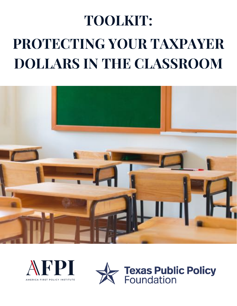# **TOOLKIT: PROTECTING YOUR TAXPAYER DOLLARS IN THE CLASSROOM**





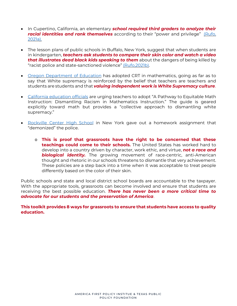- x In Cupertino, California, an elementary *school required third graders to analyze their racial identities and rank themselves* according to their "power and privilege" ([Rufo,](https://www.city-journal.org/identity-politics-in-cupertino-california-elementary-school) [2021a\).](https://www.city-journal.org/identity-politics-in-cupertino-california-elementary-school)
- The lesson plans of public schools in Buffalo, New York, suggest that when students are in kindergarten, *teachers ask students to compare their skin color and watch a video that illustrates dead black kids speaking to them* about the dangers of being killed by "racist police and state-sanctioned violence" ([Rufo,2021b\).](https://www.city-journal.org/buffalo-public-schools-critical-race-theory-curriculum)
- Oregon [Department](https://www.libertyineducation.org/blog/oregon-crt-in-mathematics) of Education has adopted CRT in mathematics, going as far as to say that White supremacy is reinforced by the belief that teachers are teachers and students are students and that *valuing independent work is White Supremacy culture*.
- California [education](https://www.breitbart.com/politics/2021/04/15/california-weighs-equitable-math-goal-obtaining-correct-answer-racist/) officials are urging teachers to adopt "A Pathway to Equitable Math Instruction: Dismantling Racism in Mathematics Instruction." The guide is geared explicitly toward math but provides a "collective approach to dismantling white supremacy."
- [Rockville](https://defendinged.org/incidents/rockville-centre-high-school-assignment-asserts-that-police-are-the-sixth-leading-cause-of-death-for-young-black-men-after-cancer/) Center High School in New York gave out a homework assignment that "demonized" the police.
	- o **This is proof that grassroots have the right to be concerned that these teachings could come to their schools.** The United States has worked hard to develop into a country driven by character, work ethic, and virtue, *not a race and biological identity.* The growing movement of race-centric, anti-American thought and rhetoric in our schools threatens to dismantle that very achievement. These policies are a step back into a time when it was acceptable to treat people differently based on the color of their skin.

Public schools and state and local district school boards are accountable to the taxpayer. With the appropriate tools, grassroots can become involved and ensure that students are receiving the best possible education. *There has never been a more critical time to advocate for our students and the preservation of America*.

**This toolkit provides 8 ways for grassroots to ensure that students have access to quality education.**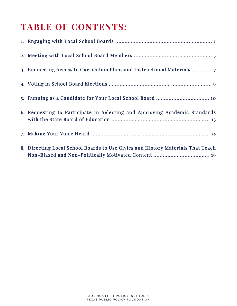# **TABLE OF CONTENTS:**

| 3. Requesting Access to Curriculum Plans and Instructional Materials            |
|---------------------------------------------------------------------------------|
|                                                                                 |
|                                                                                 |
| 6. Requesting to Participate in Selecting and Approving Academic Standards      |
|                                                                                 |
| 8. Directing Local School Boards to Use Civics and History Materials That Teach |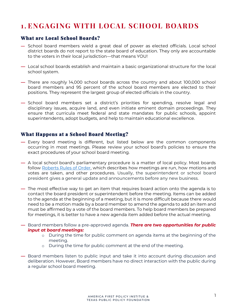# **1 . ENGAGING WITH LOCAL SCHOOL BOARDS**

## What are Local School Boards?

- **٪** School board members wield a great deal of power as elected officials. Local school district boards do not report to the state board of education. They only are accountable to the voters in their local jurisdiction—that means YOU!
- **٪** Local school boards establish and maintain a basic organizational structure for the local school system.
- **٪** There are roughly 14,000 school boards across the country and about 100,000 school board members and 95 percent of the school board members are elected to their positions. They represent the largest group of elected officials in the country.
- $\rightarrow$  School board members set a district's priorities for spending, resolve legal and disciplinary issues, acquire land, and even initiate eminent domain proceedings. They ensure that curricula meet federal and state mandates for public schools, appoint superintendents, adopt budgets, and help to maintain educational excellence.

#### What Happens at a School Board Meeting?

- **٪** Every board meeting is different, but listed below are the common components occurring in most meetings. Please review your school board's policies to ensure the exact procedures of your school board meeting.
- A local school board's parliamentary procedure is a matter of local policy. Most boards follow [Roberts Rules of Order,](https://robertsrules.com/) which describes how meetings are run, how motions and votes are taken, and other procedures. Usually, the superintendent or school board president gives a general update and announcements before any new business.
- **٪** The most effective way to get an item that requires board action onto the agenda is to contact the board president or superintendent before the meeting. Items can be added to the agenda at the beginning of a meeting, but it is more difficult because there would need to be a motion made by a board member to amend the agenda to add an item and must be affirmed by a vote of the board members. To help board members be prepared for meetings, it is better to have a new agenda item added before the actual meeting.
- **٪** Board members follow a pre-approved agenda. *There are two opportunities for public input at board meetings:*
	- o During the time for public comment on agenda items at the beginning of the meeting.
	- o During the time for public comment at the end of the meeting.
- **٪** Board members listen to public input and take it into account during discussion and deliberation. However, Board members have no direct interaction with the public during a regular school board meeting.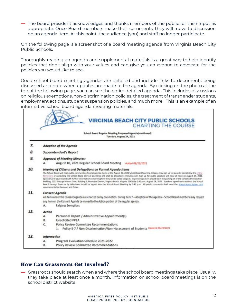**٪** The board president acknowledges and thanks members of the public for their input as appropriate. Once Board members make their comments, they will move to discussion on an agenda item. At this point, the audience (you) and staff no longer participate.

On the following page is a screenshot of a board meeting agenda from Virginia Beach City Public Schools.

Thoroughly reading an agenda and supplemental materials is a great way to help identify policies that don't align with your values and can give you an avenue to advocate for the policies you would like to see.

Good school board meeting agendas are detailed and include links to documents being discussed and note when updates are made to the agenda. By clicking on the photo at the top of the following page, you can see the entire detailed agenda. This includes discussions on religious exemptions, non-discrimination policies, the treatment of transgender students, employment actions, student suspension policies, and much more. This is an example of an informative school board agenda meeting materials.

|     | School Board Regular Meeting Proposed Agenda (continued)<br>Tuesday, August 24, 2021                                                                                                                                                                                                                                                                                                                                                                                                                                                                                                                                                                                                                                                                                                                                                                                                                                                                                  |
|-----|-----------------------------------------------------------------------------------------------------------------------------------------------------------------------------------------------------------------------------------------------------------------------------------------------------------------------------------------------------------------------------------------------------------------------------------------------------------------------------------------------------------------------------------------------------------------------------------------------------------------------------------------------------------------------------------------------------------------------------------------------------------------------------------------------------------------------------------------------------------------------------------------------------------------------------------------------------------------------|
| 7.  | Adoption of the Agenda                                                                                                                                                                                                                                                                                                                                                                                                                                                                                                                                                                                                                                                                                                                                                                                                                                                                                                                                                |
| 8.  | <b>Superintendent's Report</b>                                                                                                                                                                                                                                                                                                                                                                                                                                                                                                                                                                                                                                                                                                                                                                                                                                                                                                                                        |
| 9.  | Approval of Meeting Minutes:                                                                                                                                                                                                                                                                                                                                                                                                                                                                                                                                                                                                                                                                                                                                                                                                                                                                                                                                          |
|     | August 10, 2021 Regular School Board Meeting Added 08/23/2021<br>А.                                                                                                                                                                                                                                                                                                                                                                                                                                                                                                                                                                                                                                                                                                                                                                                                                                                                                                   |
| 10. | Hearing of Citizens and Delegations on Formal Agenda Items<br>The School Board will hear public comment on Formal Agenda items at the August 24, 2021 School Board Meeting. Otizens may sign up to speak by completing the coline<br>form here or contacting the School Board Clerk at 263-1016 and shall be allocated 4 minutes each. Sign up for public speakers will close at noon on August 24, 2021.<br>Speakers will be provided with further information concerning how they will be called to speak. In person speakers should be in the parking lut of the School Administration<br>Building, 2512 George Mason Drive, Building 6, Municipal Center, Vrginia Beach, Virginia 23456 by 5:45 p.m. August 24, 2021. Speakers signed up to address the School<br>Board through Zoom or by telephone should be signed into the School Board Meeting by SAS p.m. All public comments shall meet the School Board Bylaw 1-48<br>requirements for Decorum and Order. |
| 11. | <b>Consent Agenda</b><br>All items under the Consent Agenda are enacted on by one motion. During item 7 - Adoption of the Agenda - School Board members may request<br>any item on the Consent Agenda be moved to the Action portion of the regular agenda.<br>Religious Exemptions<br>А.                                                                                                                                                                                                                                                                                                                                                                                                                                                                                                                                                                                                                                                                             |
| 12. | Action<br>Personnel Report / Administrative Appointment(s)<br>А.<br><b>Unsolicited PPEA</b><br>В.<br>Policy Review Committee Recommendations<br>c.<br>1. Policy 5-7 / Non-Discrimination/Non-Harassment of Students Updated 08/21/2021                                                                                                                                                                                                                                                                                                                                                                                                                                                                                                                                                                                                                                                                                                                                |
| 13. | <b>Information</b>                                                                                                                                                                                                                                                                                                                                                                                                                                                                                                                                                                                                                                                                                                                                                                                                                                                                                                                                                    |
|     | Program Evaluation Schedule 2021-2022<br>А.                                                                                                                                                                                                                                                                                                                                                                                                                                                                                                                                                                                                                                                                                                                                                                                                                                                                                                                           |
|     | Policy Review Committee Recommendations<br>В.                                                                                                                                                                                                                                                                                                                                                                                                                                                                                                                                                                                                                                                                                                                                                                                                                                                                                                                         |

## How Can Grassroots Get Involved?

**٪** Grassroots should search when and where the school board meetings take place. Usually, they take place at least once a month. Information on school board meetings is on the school district website.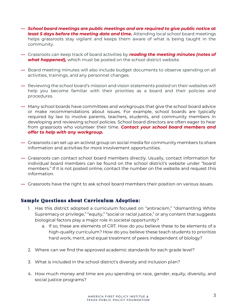- **٪** *School board meetings are public meetings and are required to give public notice at least 5 days before the meeting date and time.* Attending local school board meetings helps grassroots stay vigilant and keeps them aware of what is being taught in the community.
- **٪** Grassroots can keep track of board activities by *reading the meeting minutes (notes of what happened),* which must be posted on the school district website.
- **٪** Board meeting minutes will also include budget documents to observe spending on all activities, trainings, and any personnel changes.
- ← Reviewing the school board's mission and vision statements posted on their websites will help you become familiar with their priorities as a board and their policies and procedures.
- **٪** Many school boards have committees and workgroups that give the school board advice or make recommendations about issues. For example, school boards are typically required by law to involve parents, teachers, students, and community members in developing and reviewing school policies. School board directors are often eager to hear from grassroots who volunteer their time. *Contact your school board members and offer to help with any workgroup.*
- **٪** Grassroots can set up an activist group on social media for community members to share information and activities for more involvement opportunities.
- **٪** Grassroots can contact school board members directly. Usually, contact information for individual board members can be found on the school district's website under "board members." If it is not posted online, contact the number on the website and request this information.
- **٪** Grassroots have the right to ask school board members their position on various issues.

#### Sample Questions about Curriculum Adoption:

- 1. Has this district adopted a curriculum focused on "antiracism," "dismantling White Supremacy or privilege," "equity," "social or racial justice," or any content that suggests biological factors play a major role in societal opportunity?
	- a. If so, these are elements of CRT. How do you believe these to be elements of a high-quality curriculum? How do you believe these teach students to prioritize hard work, merit, and equal treatment of peers independent of biology?
- 2. Where can we find the approved academic standards for each grade level?
- 3. What is included in the school district's diversity and inclusion plan?
- 4. How much money and time are you spending on race, gender, equity, diversity, and social justice programs?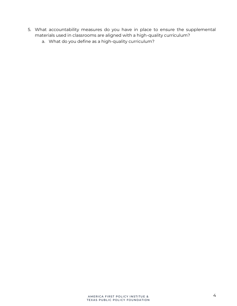- 5. What accountability measures do you have in place to ensure the supplemental materials used in classrooms are aligned with a high-quality curriculum?
	- a. What do you define as a high-quality curriculum?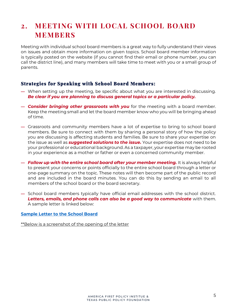# **2. MEETING WITH LOCAL SCHOOL BOARD MEMBERS**

Meeting with individual school board members is a great way to fully understand their views on issues and obtain more information on given topics. School board member information is typically posted on the website (if you cannot find their email or phone number, you can call the district line), and many members will take time to meet with you or a small group of parents.

#### Strategies for Speaking with School Board Members:

- **٪** When setting up the meeting, be specific about what you are interested in discussing. *Be clear if you are planning to discuss general topics or a particular policy.*
- **٪** *Consider bringing other grassroots with you* for the meeting with a board member. Keep the meeting small and let the board member know who you will be bringing ahead of time.
- **٪** Grassroots and community members have a lot of expertise to bring to school board members. Be sure to connect with them by sharing a personal story of how the policy you are discussing is affecting students and families. Be sure to share your expertise on the issue as well as *suggested solutions to the issue.* Your expertise does not need to be your professional or educational background. As a taxpayer, your expertise may be rooted in your experience as a mother or father or even a concerned community member.
- **٪** *Follow up with the entire school board after your member meeting.* It is always helpful to present your concerns or points officially to the entire school board through a letter or one-page summary on the topic. These notes will then become part of the public record and are included in the board minutes. You can do this by sending an email to all members of the school board or the board secretary.
- **٪** School board members typically have official email addresses with the school district. *Letters, emails, and phone calls can also be a good way to communicate* with them. A sample letter is linked below:

#### **[Sample Letter to the School Board](https://www.thefourthcorner.com/meridian-citizens-group-organizes-to-communicate-with-school-officials-writes-open-letter/)**

\*\*Below is a screenshot of the opening of the letter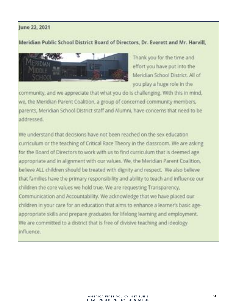# June 22, 2021

## Meridian Public School District Board of Directors, Dr. Everett and Mr. Harvill,



Thank you for the time and effort you have put into the Meridian School District. All of you play a huge role in the

community, and we appreciate that what you do is challenging. With this in mind, we, the Meridian Parent Coalition, a group of concerned community members, parents, Meridian School District staff and Alumni, have concerns that need to be ddressed

We understand that decisions have not been reached on the sex education curriculum or the teaching of Critical Race Theory in the classroom. We are asking for the Board of Directors to work with us to find curriculum that is deemed age appropriate and in alignment with our values. We, the Meridian Parent Coalition. believe ALL children should be treated with dignity and respect. We also believe that families have the primary responsibility and ability to teach and influence our children the core values we hold true. We are requesting Transparency, Communication and Accountability. We acknowledge that we have placed our children in your care for an education that aims to enhance a learner's basic ageappropriate skills and prepare graduates for lifelong learning and employment. We are committed to a district that is free of divisive teaching and ideology. influence.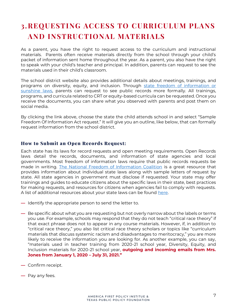# **3.REQUESTING ACCESS TO CURRICULUM PLANS AND INSTRUCTIONAL MATERIALS**

As a parent, you have the right to request access to the curriculum and instructional materials. Parents often receive materials directly from the school through your child's packet of information sent home throughout the year. As a parent, you also have the right to speak with your child's teacher and principal. In addition, parents can request to see the materials used in their child's classroom.

The school district website also provides additional details about meetings, trainings, and programs on diversity, equity, and inclusion. Through state freedom of information or [sunshine laws,](https://www.nfoic.org/state-freedom-of-information-laws/) parents can request to see public records more formally. All trainings, programs, and curricula related to CRT or equity-based curricula can be requested. Once you receive the documents, you can share what you observed with parents and post them on social media.

By clicking the link above, choose the state the child attends school in and select "Sample Freedom Of Information Act request." It will give you an outline, like below, that can formally request information from the school district.

#### How to Submit an Open Records Request:

Each state has its laws for record requests and open meeting requirements. Open Records laws detail the records, documents, and information of state agencies and local governments. Most freedom of information laws require that public records requests be made in writing. [The National Freedom of Information Coalition](https://www.nfoic.org/state-freedom-of-information-laws/) is a great resource that provides information about individual state laws along with sample letters of request by state. All state agencies in government must disclose if requested. Your state may offer trainings and guides to educate citizens about the specific laws in their state, best practices for making requests, and resources for citizens when agencies fail to comply with requests. A list of additional resources about your state laws can be found [here.](https://ballotpedia.org/State_sunshine_laws) 

- **٪** Identify the appropriate person to send the letter to.
- **٪** Be specific about what you are requesting but not overly narrow about the labels or terms you use. For example, schools may respond that they do not teach "critical race theory" if that exact phrase does not to appear in any course materials. However, if, in addition to "critical race theory," you also list critical race theory scholars or topics like "curriculum materials that discuss systemic racism and disadvantages to meritocracy," you are more likely to receive the information you are looking for. As another example, you can say, "materials used in teacher training from 2020-21 school year, Diversity, Equity, and Inclusion materials for 2020-21 school year, **outgoing and incoming emails from Mrs. Jones from January 1, 2020 - July 31, 2021."**
- **٪** Confirm receipt.
- **٪** Pay any fees.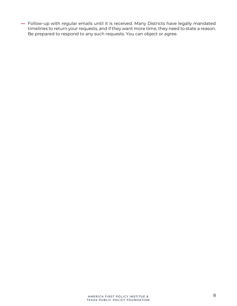**٪** Follow-up with regular emails until it is received. Many Districts have legally mandated timelines to return your requests, and if they want more time, they need to state a reason. Be prepared to respond to any such requests. You can object or agree.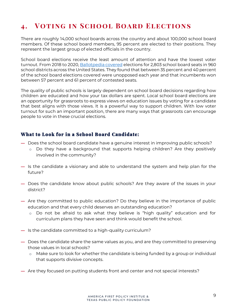# **4. Voting in School Board Elections**

There are roughly 14,000 school boards across the country and about 100,000 school board members. Of these school board members, 95 percent are elected to their positions. They represent the largest group of elected officials in the country.

School board elections receive the least amount of attention and have the lowest voter turnout. From 2018 to 2020, [Ballotpedia](https://ballotpedia.org/School_board_elections,_2020) covered elections for 2,803 school board seats in 960 school districts across the United States. They found that between 35 percent and 40 percent of the school board elections covered were unopposed each year and that incumbents won between 57 percent and 61 percent of contested seats.

The quality of public schools is largely dependent on school board decisions regarding how children are educated and how your tax dollars are spent. Local school board elections are an opportunity for grassroots to express views on education issues by voting for a candidate that best aligns with those views. It is a powerful way to support children. With low voter turnout for such an important position, there are many ways that grassroots can encourage people to vote in these crucial elections.

## What to Look for in a School Board Candidate:

- **٪** Does the school board candidate have a genuine interest in improving public schools?
	- o Do they have a background that supports helping children? Are they positively involved in the community?
- **٪** Is the candidate a visionary and able to understand the system and help plan for the future?
- **٪** Does the candidate know about public schools? Are they aware of the issues in your district?
- **٪** Are they committed to public education? Do they believe in the importance of public education and that every child deserves an outstanding education?
	- o Do not be afraid to ask what they believe is "high quality" education and for curriculum plans they have seen and think would benefit the school.
- **٪** Is the candidate committed to a high-quality curriculum?
- **٪** Does the candidate share the same values as you, and are they committed to preserving those values in local schools?
	- o Make sure to look for whether the candidate is being funded by a group or individual that supports divisive concepts.
- **٪** Are they focused on putting students front and center and not special interests?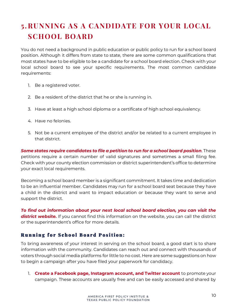# **5.RUNNING AS A CANDIDATE FOR YOUR LOCAL SCHOOL BOARD**

You do not need a background in public education or public policy to run for a school board position. Although it differs from state to state, there are some common qualifications that most states have to be eligible to be a candidate for a school board election. Check with your local school board to see your specific requirements. The most common candidate requirements:

- 1. Be a registered voter.
- 2. Be a resident of the district that he or she is running in.
- 3. Have at least a high school diploma or a certificate of high school equivalency.
- 4. Have no felonies.
- 5. Not be a current employee of the district and/or be related to a current employee in that district.

*Some states require candidates to file a petition to run for a school board position*. These petitions require a certain number of valid signatures and sometimes a small filing fee. Check with your county election commission or district superintendent's office to determine your exact local requirements.

Becoming a school board member is a significant commitment. It takes time and dedication to be an influential member. Candidates may run for a school board seat because they have a child in the district and want to impact education or because they want to serve and support the district.

*To find out information about your next local school board election, you can visit the district website.* If you cannot find this information on the website, you can call the district or the superintendent's office for more details.

## Running for School Board Position:

To bring awareness of your interest in serving on the school board, a good start is to share information with the community. Candidates can reach out and connect with thousands of voters through social media platforms for little to no cost. Here are some suggestions on how to begin a campaign after you have filed your paperwork for candidacy.

1. **Create a Facebook page, Instagram account, and Twitter account** to promote your campaign. These accounts are usually free and can be easily accessed and shared by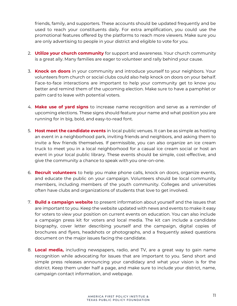friends, family, and supporters. These accounts should be updated frequently and be used to reach your constituents daily. For extra amplification, you could use the promotional features offered by the platforms to reach more viewers. Make sure you are only advertising to people in your district and eligible to vote for you.

- 2. **Utilize your church community** for support and awareness. Your church community is a great ally. Many families are eager to volunteer and rally behind your cause.
- 3. **Knock on doors** in your community and introduce yourself to your neighbors. Your volunteers from church or social clubs could also help knock on doors on your behalf. Face-to-face interactions are important to help your community get to know you better and remind them of the upcoming election. Make sure to have a pamphlet or palm card to leave with potential voters.
- 4. **Make use of yard signs** to increase name recognition and serve as a reminder of upcoming elections. These signs should feature your name and what position you are running for in big, bold, and easy-to-read font.
- 5. **Host meet the candidate events** in local public venues. It can be as simple as hosting an event in a neighborhood park, inviting friends and neighbors, and asking them to invite a few friends themselves. If permissible, you can also organize an ice cream truck to meet you in a local neighborhood for a casual ice cream social or host an event in your local public library. These events should be simple, cost-effective, and give the community a chance to speak with you one-on-one.
- 6. **Recruit volunteers** to help you make phone calls, knock on doors, organize events, and educate the public on your campaign. Volunteers should be local community members, including members of the youth community. Colleges and universities often have clubs and organizations of students that love to get involved.
- 7. **Build a campaign website** to present information about yourself and the issues that are important to you. Keep the website updated with news and events to make it easy for voters to view your position on current events on education. You can also include a campaign press kit for voters and local media. The kit can include a candidate biography, cover letter describing yourself and the campaign, digital copies of brochures and flyers, headshots or photographs, and a frequently asked questions document on the major issues facing the candidate.
- 8. **Local media,** including newspapers, radio, and TV, are a great way to gain name recognition while advocating for issues that are important to you. Send short and simple press releases announcing your candidacy and what your vision is for the district. Keep them under half a page, and make sure to include your district, name, campaign contact information, and webpage.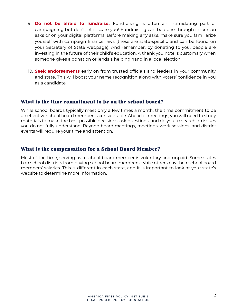- 9. **Do not be afraid to fundraise.** Fundraising is often an intimidating part of campaigning but don't let it scare you! Fundraising can be done through in-person asks or on your digital platforms. Before making any asks, make sure you familiarize yourself with campaign finance laws (these are state-specific and can be found on your Secretary of State webpage). And remember, by donating to you, people are investing in the future of their child's education. A thank you note is customary when someone gives a donation or lends a helping hand in a local election.
- 10. **Seek endorsements** early on from trusted officials and leaders in your community and state. This will boost your name recognition along with voters' confidence in you as a candidate.

#### What is the time commitment to be on the school board?

While school boards typically meet only a few times a month, the time commitment to be an effective school board member is considerable. Ahead of meetings, you will need to study materials to make the best possible decisions, ask questions, and do your research on issues you do not fully understand. Beyond board meetings, meetings, work sessions, and district events will require your time and attention.

## What is the compensation for a School Board Member?

Most of the time, serving as a school board member is voluntary and unpaid. Some states ban school districts from paying school board members, while others pay their school board members' salaries. This is different in each state, and it is important to look at your state's website to determine more information.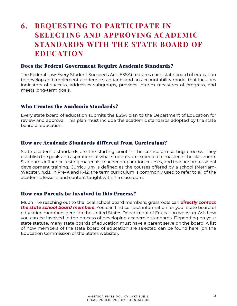# **6. REQUESTING TO PARTICIPATE IN SELECTING AND APPROVING ACADEMIC STANDARDS WITH THE STATE BOARD OF EDUCATION**

#### Does the Federal Government Require Academic Standards?

The Federal Law Every Student Succeeds Act (ESSA) requires each state board of education to develop and implement academic standards and an accountability model that includes indicators of success, addresses subgroups, provides interim measures of progress, and meets long-term goals.

#### Who Creates the Academic Standards?

Every state board of education submits the ESSA plan to the Department of Education for review and approval. This plan must include the academic standards adopted by the state board of education.

#### How are Academic Standards different from Curriculum?

State academic standards are the starting point in the curriculum-setting process. They establish the goals and aspirations of what students are expected to master in the classroom. Standards influence testing materials, teacher preparation courses, and teacher professional development training. Curriculum is defined as the courses offered by a school [\(Merriam-](https://www.merriam-webster.com/dictionary/curriculum)[Webster,](https://www.merriam-webster.com/dictionary/curriculum) n.d.). In Pre-K and K-12, the term curriculum is commonly used to refer to all of the academic lessons and content taught within a classroom.

#### How can Parents be Involved in this Process?

Much like reaching out to the local school board members, grassroots can *directly contact the state school board members*. You can find contact information for your state board of education members [here](https://www2.ed.gov/about/contacts/state/index.html) (on the United States Department of Education website). Ask how you can be involved in the process of developing academic standards. Depending on your state statute, many state boards of education must have a parent serve on the board. A list of how members of the state board of education are selected can be found [here](https://ecs.secure.force.com/mbdata/mbquestNB2?rep=KG1717) (on the Education Commission of the States website).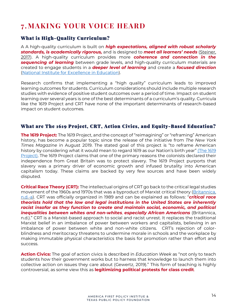# **7. MAKING YOUR VOICE HEARD**

## What is High-Quality Curriculum?

A A high-quality curriculum is built on *high expectations, aligned with robust scholarly standards, is academically rigorous,* and is designed to *meet all ǼƺƏȸȇƺȸɀڗ needs* [\(Steiner,](https://standardswork.org/wp-content/uploads/2017/03/sw-curriculum-research-report-fnl.pdf) [2017\)](https://standardswork.org/wp-content/uploads/2017/03/sw-curriculum-research-report-fnl.pdf). A high-quality curriculum provides more *coherence and connection in the sequencing of learning* between grade levels, and high-quality curriculum materials are created to engage students in a *deeper level of learning* and create a *focused direction* (National Institute for Excellence in [Education\)](https://www.niet.org/assets/1da4c1fbd6/high-quality-curriculum-implementation.pdf).

Research confirms that implementing a "high quality" curriculum leads to improved learning outcomes for students. Curriculum considerations should include multiple research studies with evidence of positive student outcomes over a period of time. Impact on student learning over several years is one of the best determinants of a curriculum's quality. Curricula like the 1619 Project and CRT have none of the important determinants of research-based impact on student outcomes.

#### What are The 1619 Project, CRT, Action Civics, and Equity-Based Education?

**The 1619 Project:** The 1619 Project, and the concept of "reimagining" or "reframing" American history, has become a popular topic since the release of the initiative from *The New York Times Magazine* in August 2019. The stated goal of this project is "to reframe American history by considering what it would mean to regard [1619](https://www.nytimes.com/interactive/2019/08/14/magazine/1619-america-slavery.html) as our Nation's birth year" (The 1619 [Project\).](https://www.nytimes.com/interactive/2019/08/14/magazine/1619-america-slavery.html) The 1619 Project claims that one of the primary reasons the colonists declared their independence from Great Britain was to protect slavery. The 1619 Project purports that slavery was a primary driver of economic growth and infused brutality into American capitalism today. These claims are backed by very few sources and have been widely disputed.

**Critical Race Theory (CRT):** The intellectual origins of CRT go back to the critical legal studies movement of the 1960s and 1970s that was a byproduct of Marxist critical theory [\(Britannica,](https://www.britannica.com/topic/critical-race-theory) [n.d.-a\)](https://www.britannica.com/topic/critical-race-theory). CRT was officially organized in 1989 and can be explained as follows: ٹ*critical race theorists hold that the law and legal institutions in the United States are inherently racist insofar as they function to create and maintain social, economic, and political inequalities between whites and non-whites, especially African Americans* (Britannica, n.d.)." CRT is a Marxist-based approach to social and racist unrest. It replaces the traditional Marxist belief in an imbalance of power between workers and capitalists, believing in an imbalance of power between white and non-white citizens. CRT's rejection of colorblindness and meritocracy threatens to undermine morale in schools and the workplace by making immutable physical characteristics the basis for promotion rather than effort and success.

**Action Civics:** The goal of action civics is described in *Education Week* as ٹnot only to teach students how their government works but to harness that knowledge to launch them into collective action on issues they care about (Gewertz, 2019)." This form of teaching is highly controversial, as some view this as **legitimizing political protests for class credit**.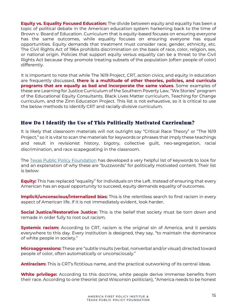**Equity vs. Equality Focused Education:** The divide between equity and equality has been a topic of political debate in the American education system harkening back to the time of Brown v. Board of Education. Curriculum that is equity-based focuses on ensuring everyone has the same outcomes, while equality focuses on ensuring everyone has equal opportunities. Equity demands that treatment must consider race, gender, ethnicity, etc. The Civil Rights Act of 1964 prohibits discrimination on the basis of race, color, religion, sex, or national origin. Policies that support equity versus equality can be a threat to the Civil Rights Act because they promote treating subsets of the population (often people of color) differently.

It is important to note that while The 1619 Project, CRT, action civics, and equity in education are frequently discussed, **there is a multitude of other theories, policies, and curricula programs that are equally as bad and incorporate the same values**. Some examples of these are Learning for Justice Curriculum of the Southern Poverty Law, ٹWe Storiesٺ program of the Educational Equity Consultants, Black Lives Matter curriculum, Teaching for Change curriculum, and the Zinn Education Project. This list is not exhaustive, so it is critical to use the below methods to identify CRT and racially divisive curriculum.

## How Do I Identify the Use of This Politically Motivated Curriculum?

It is likely that classroom materials will not outright say "Critical Race Theory" or "The 1619 Project," so it is vital to scan the materials for keywords or phrases that imply these teachings and result in revisionist history, bigotry, collective guilt, neo-segregation, racial discrimination, and race scapegoating in the classroom.

The Texas Public Policy [Foundation](https://www.texaspolicy.com/how-will-you-know-if-critical-race-theory-is-taught-in-your-childs-school/?__hstc=204790927.8ea65c43cd17d24af3b6826bdd93b039.1629225167128.1629225167128.1629225167128.1&__hssc=204790927.2.1629225167128&__hsfp=424596134) has developed a very helpful list of keywords to look for and an explanation of why these are "buzzwords" for politically motivated content. Their list is below:

**Equity:** This has replaced "equality" for individuals on the Left. Instead of ensuring that every American has an equal opportunity to succeed, equity demands equality of outcomes.

**Implicit/unconscious/internalized bias:** This is the relentless search to find racism in every aspect of American life. If it is not immediately evident, look harder.

**Social Justice/Restorative Justice:** This is the belief that society must be torn down and remade in order fully to root out racism.

**Systemic racism:** According to CRT, racism is the original sin of America, and it persists everywhere to this day. Every institution is designed, they say, "to maintain the dominance of white people in society.ٺ

**Microaggressions:** These are "subtle insults (verbal, nonverbal and/or visual) directed toward people of color, often automatically or unconsciously.ٺ

**Antiracism:** This is CRT's fictitious name, and the practical outworking of its central ideas.

**White privilege:** According to this doctrine, white people derive immense benefits from their race. According to one theorist (and Wisconsin politician), ٹAmerica needs to be honest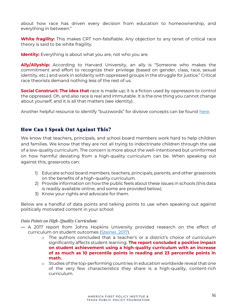about how race has driven every decision from education to homeownership, and everything in between.ٺ

**White fragility:** This makes CRT non-falsifiable. Any objection to any tenet of critical race theory is said to be white fragility.

**Identity:** Everything is about what you are, not who you are.

**Ally/Allyship:** According to Harvard University, an ally is "Someone who makes the commitment and effort to recognize their privilege (based on gender, class, race, sexual identity, etc.) and work in solidarity with oppressed groups in the struggle for justice." Critical race theorists demand nothing less of the rest of us.

**Social Construct: The idea that** race is made-up; it is a fiction used by oppressors to control the oppressed. Oh, and also race is real and immutable. It is the one thing you cannot change about yourself, and it is all that matters (see identity).

Another helpful resource to identify "buzzwords" for divisive concepts can be found [here.](https://parentsknowbest.com/wp-content/uploads/2021/07/Vocabulary-for-Understanding-21st-Century-Wokeness-in-Education-3.pdf)

#### How Can I Speak Out Against This?

We know that teachers, principals, and school board members work hard to help children and families. We know that they are not all trying to indoctrinate children through the use of a low-quality curriculum. The concern is more about the well-intentioned but uninformed on how harmful deviating from a high-quality curriculum can be. When speaking out against this, grassroots can:

- 1) Educate school board members, teachers, principals, parents, and other grassroots on the benefits of a high-quality curriculum.
- 2) Provide information on how the public feels about these issues in schools (this data is readily available online, and some are provided below).
- 3) Know your rights and advocate for them.

Below are a handful of data points and talking points to use when speaking out against politically motivated content in your school:

#### *Data Points on High-Quality Curriculum:*

- **٪** A 2017 report from Johns Hopkins University provided research on the effect of curriculum on student outcomes [\(Steiner, 2017\)](https://standardswork.org/wp-content/uploads/2017/03/sw-curriculum-research-report-fnl.pdf).
	- $\circ$  The authors concluded that a teacher's or a district's choice of curriculum significantly affects student learning. **The report concluded a positive impact on student achievement using a high-quality curriculum with an increase of as much as 10 percentile points in reading and 23 percentile points in math.**
	- o Studies of the top-performing countries in education worldwide reveal that one of the very few characteristics they share is a high-quality, content-rich curriculum.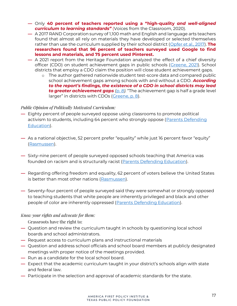- $-$  Only 40 percent of teachers reported using a "high-quality and well-aligned *curriculum to learning standards"* (Voices from the Classroom, 2020).
- **٪** A 2017 RAND Corporation survey of 1,100 math and English and language arts teachers found that almost all rely on materials they have developed or selected themselves rather than use the curriculum supplied by their school district [\(Opfer et al., 2017\)](https://www.rand.org/pubs/research_reports/RR1529-1.html). **The researchers found that 96 percent of teachers surveyed used Google to find lessons and materials, and 75 percent used Pinterest.**
- **٪** A 2021 report from the Heritage Foundation analyzed the effect of a chief diversity officer (CDO) on student achievement gaps in public schools [\(Greene, 2021\)](https://www.heritage.org/education/report/equity-elementary-diversity-equity-and-inclusion-staff-public-schools). School districts that employ a CDO claim the position will close student achievement gaps.
	- o The author gathered nationwide student test-score data and compared public school achievement gaps among schools with and without a CDO. *According ɎȒɎǝƺȸƺȵȒȸɎڗɀǔǣȇƳǣȇǕɀ٦ɎǝƺƺɴǣɀɎƺȇƬƺȒǔƏ!(ǣȇɀƬǝȒȒǼƳǣɀɎȸǣƬɎɀȅƏɵǼƺƏƳ to greater achievement gaps [\(p. 8\)](https://www.heritage.org/education/report/equity-elementary-diversity-equity-and-inclusion-staff-public-schools)*. "The achievement gap is half a grade level larger" in districts with CDOs ([Greene, p. 8\)](https://www.heritage.org/education/report/equity-elementary-diversity-equity-and-inclusion-staff-public-schools).

#### *Public Opinion of Politically Motivated Curriculum:*

- **٪** Eighty percent of people surveyed oppose using classrooms to promote political activism to students, including 64 percent who strongly oppose [\(Parents Defending](https://defendinged.org/wp-content/uploads/2021/05/National-Education-Poll-Topline-Results.pdf)  [Education\)](https://defendinged.org/wp-content/uploads/2021/05/National-Education-Poll-Topline-Results.pdf).
- → As a national objective, 52 percent prefer "equality" while just 16 percent favor "equity" (Rasmussen).
- **٪** Sixty-nine percent of people surveyed opposed schools teaching that America was founded on racism and is structurally racist [\(Parents Defending Education\)](https://defendinged.org/wp-content/uploads/2021/05/National-Education-Poll-Topline-Results.pdf).
- **٪** Regarding offering freedom and equality, 62 percent of voters believe the United States is better than most other nations (Rasmussen).
- **٪** Seventy-four percent of people surveyed said they were somewhat or strongly opposed to teaching students that white people are inherently privileged and black and other people of color are inherently oppressed [\(Parents Defending Education\)](https://defendinged.org/wp-content/uploads/2021/05/National-Education-Poll-Topline-Results.pdf).

#### *Know your rights and advocate for them:*

Grassroots have the right to:

- **٪** Question and review the curriculum taught in schools by questioning local school boards and school administrators.
- **٪** Request access to curriculum plans and instructional materials
- **٪** Question and address school officials and school board members at publicly designated meetings with proper notice of the meetings provided.
- **٪** Run as a candidate for the local school board.
- ← Expect that the academic curriculum taught in your district's schools align with state and federal law.
- **٪** Participate in the selection and approval of academic standards for the state.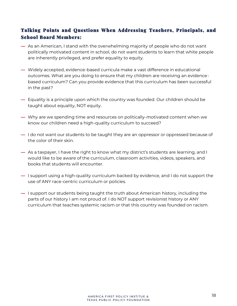# Talking Points and Questions When Addressing Teachers, Principals, and School Board Members:

- **٪** As an American, I stand with the overwhelming majority of people who do not want politically motivated content in school, do not want students to learn that white people are inherently privileged, and prefer equality to equity.
- **٪** Widely accepted, evidence-based curricula make a vast difference in educational outcomes. What are you doing to ensure that my children are receiving an evidencebased curriculum? Can you provide evidence that this curriculum has been successful in the past?
- **٪** Equality is a principle upon which the country was founded. Our children should be taught about equality, NOT equity.
- **٪** Why are we spending time and resources on politically-motivated content when we know our children need a high-quality curriculum to succeed?
- **٪** I do not want our students to be taught they are an oppressor or oppressed because of the color of their skin.
- As a taxpayer, I have the right to know what my district's students are learning, and I would like to be aware of the curriculum, classroom activities, videos, speakers, and books that students will encounter.
- **٪** I support using a high-quality curriculum backed by evidence, and I do not support the use of ANY race-centric curriculum or policies.
- **٪** I support our students being taught the truth about American history, including the parts of our history I am not proud of. I do NOT support revisionist history or ANY curriculum that teaches systemic racism or that this country was founded on racism.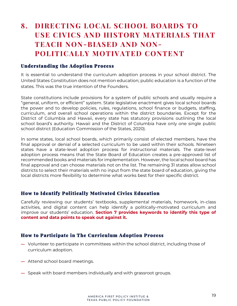# **8. DIRECTING LOCAL SCHOOL BOARDS TO USE CIVICS AND HISTORY MATERIALS THAT TEACH NON-BIASED AND NON-POLITICALLY MOTIVATED CONTENT**

#### Understanding the Adoption Process

It is essential to understand the curriculum adoption process in your school district. The United States Constitution does not mention education; public education is a function of the states. This was the true intention of the Founders.

State constitutions include provisions for a system of public schools and usually require a ٹgeneral, uniform, or efficientٺ system. State legislative enactment gives local school boards the power and to develop policies, rules, regulations, school finance or budgets, staffing, curriculum, and overall school operations within the district boundaries. Except for the District of Columbia and Hawaii, every state has statutory provisions outlining the local school board's authority. Hawaii and the District of Columbia have only one single public school district (Education Commission of the States, 2020).

In some states, local school boards, which primarily consist of elected members, have the final approval or denial of a selected curriculum to be used within their schools. Nineteen states have a state-level adoption process for instructional materials. The state-level adoption process means that the State Board of Education creates a pre-approved list of recommended books and materials for implementation. However, the local school board has final approval and can choose materials not on the list. The remaining 31 states allow school districts to select their materials with no input from the state board of education, giving the local districts more flexibility to determine what works best for their specific district.

## How to Identify Politically Motivated Civics Education

Carefully reviewing our students' textbooks, supplemental materials, homework, in-class activities, and digital content can help identify a politically-motivated curriculum and improve our ɀɎɖƳƺȇɎɀټ education. **Section 7 provides keywords to identify this type of content and data points to speak out against it.**

#### How to Participate in The Curriculum Adoption Process

- **٪** Volunteer to participate in committees within the school district, including those of curriculum adoption.
- **٪** Attend school board meetings.
- **٪** Speak with board members individually and with grassroot groups.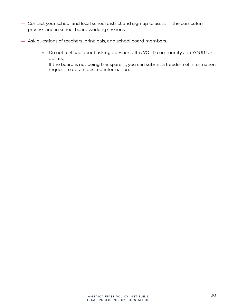- **٪** Contact your school and local school district and sign up to assist in the curriculum process and in school board working sessions.
- **٪** Ask questions of teachers, principals, and school board members.
	- o Do not feel bad about asking questions. It is YOUR community and YOUR tax dollars.
		- If the board is not being transparent, you can submit a freedom of information request to obtain desired information.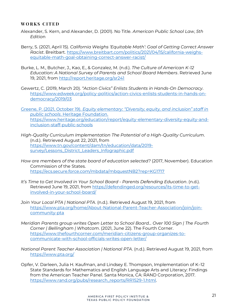#### **WORKS CITED**

- Alexander, S. Kern, and Alexander, D. (2001). No Title. *American Public School Law*, *5th Editio*n
- Berry, S. (2021, April 15). *California Weighs 'Equitable Math': Goal of Getting Correct Answer Racist*. Breitbart. [https://www.breitbart.com/politics/2021/04/15/california-weighs](https://www.breitbart.com/politics/2021/04/15/california-weighs-equitable-math-goal-obtaining-correct-answer-racist/)[equitable-math-goal-obtaining-correct-answer-racist/](https://www.breitbart.com/politics/2021/04/15/california-weighs-equitable-math-goal-obtaining-correct-answer-racist/)
- Burke, L. M., Butcher, J., Kao, E., & Gonzalez, M. (n.d.). *The Culture of American K-12 Education: A National Survey of Parents and School Board Members*. Retrieved June 19, 2021, from<http://report.heritage.org/sr241>
- Gewertz, C. (2019, March 20). *ڔƬɎǣȒȇ!ǣɮǣƬɀڕ0ȇǼǣɀɎɀ³ɎɖƳƺȇɎɀǣȇRƏȇƳɀ-On Democracy*. [https://www.edweek.org/policy-politics/action-civics-enlists-students-in-hands-on](https://www.edweek.org/policy-politics/action-civics-enlists-students-in-hands-on-democracy/2019/03)[democracy/2019/03](https://www.edweek.org/policy-politics/action-civics-enlists-students-in-hands-on-democracy/2019/03)

Greene, P. (2021, October 19). *Equity elementary: "Diversity, equity, and inclusion" staff in public schools*. Heritage Foundation. [https://www.heritage.org/education/report/equity-elementary-diversity-equity-and](https://www.heritage.org/education/report/equity-elementary-diversity-equity-and-inclusion-staff-public-schools)[inclusion-staff-public-schools](https://www.heritage.org/education/report/equity-elementary-diversity-equity-and-inclusion-staff-public-schools)

- *High-Quality Curriculum Implementation The Potential of a High-Quality Curriculum*. (n.d.). Retrieved August 22, 2021, from [https://www.tn.gov/content/dam/tn/education/data/2019](https://www.tn.gov/content/dam/tn/education/data/2019-survey/Lessons_District_Leaders_Infographic.pdf) [survey/Lessons\\_District\\_Leaders\\_Infographic.pdf](https://www.tn.gov/content/dam/tn/education/data/2019-survey/Lessons_District_Leaders_Infographic.pdf)
- *How are members of the state board of education selected?* (2017, November). Education Commission of the States. <https://ecs.secure.force.com/mbdata/mbquestNB2?rep=KG1717>
- *It's Time to Get Involved in Your School Board Parents Defending Education.* (n.d.). Retrieved June 19, 2021, from [https://defendinged.org/resources/its-time-to-get](https://defendinged.org/resources/its-time-to-get-involved-in-your-school-board/)[involved-in-your-school-board/](https://defendinged.org/resources/its-time-to-get-involved-in-your-school-board/)
- *Join Your Local PTA | National PTA*. (n.d.). Retrieved August 19, 2021, from [https://www.pta.org/home/About-National-Parent-Teacher-Association/join/join](https://www.pta.org/home/About-National-Parent-Teacher-Association/join/join-community-pta)[community-pta](https://www.pta.org/home/About-National-Parent-Teacher-Association/join/join-community-pta)
- *Meridian Parents group writes Open Letter to School Board... Over 100 Sign | The Fourth Corner | Bellingham | Whatcom*. (2021, June 22). The Fourth Corner. [https://www.thefourthcorner.com/meridian-citizens-group-organizes-to](https://www.thefourthcorner.com/meridian-citizens-group-organizes-to-communicate-with-school-officials-writes-open-letter/)[communicate-with-school-officials-writes-open-letter/](https://www.thefourthcorner.com/meridian-citizens-group-organizes-to-communicate-with-school-officials-writes-open-letter/)
- *National Parent Teacher Association | National PTA*. (n.d.). Retrieved August 19, 2021, from <https://www.pta.org/>
- Opfer, V. Darleen, Julia H. Kaufman, and Lindsey E. Thompson, Implementation of K–12 State Standards for Mathematics and English Language Arts and Literacy: Findings from the American Teacher Panel. Santa Monica, CA: RAND Corporation, 2017. [https://www.rand.org/pubs/research\\_reports/RR1529-1.html.](https://www.rand.org/pubs/research_reports/RR1529-1.html)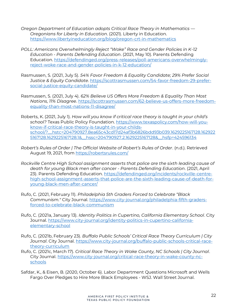- *Oregon Department of Education adopts Critical Race Theory in Mathematics څ Oregonians for Liberty in Education*. (2021). Liberty in Education. <https://www.libertyineducation.org/blog/oregon-crt-in-mathematics>
- *POLL: Americans OverwhelmiȇǕǼɵ«ƺǴƺƬɎڔáȒǸƺڕ»ƏƬƺƏȇƳJƺȇƳƺȸ¨ȒǼǣƬǣƺɀǣȇk-12 Education - Parents Defending Education*. (2021, May 10). Parents Defending Education. [https://defendinged.org/press-releases/poll-americans-overwhelmingly](https://defendinged.org/press-releases/poll-americans-overwhelmingly-reject-woke-race-and-gender-policies-in-k-12-education/)[reject-woke-race-and-gender-policies-in-k-12-education/](https://defendinged.org/press-releases/poll-americans-overwhelmingly-reject-woke-race-and-gender-policies-in-k-12-education/)
- Rasmussen, S. (2021, July 5). *54% Favor Freedom & Equality Candidate; 29% Prefer Social Justice & Equity Candidate*[. https://scottrasmussen.com/54-favor-freedom-29-prefer](https://scottrasmussen.com/54-favor-freedom-29-prefer-social-justice-equity-candidate/)[social-justice-equity-candidate/](https://scottrasmussen.com/54-favor-freedom-29-prefer-social-justice-equity-candidate/)
- Rasmussen, S. (2021, July 4). *62% Believe US Offers More Freedom & Equality Than Most Nations, 11% Disagree*. [https://scottrasmussen.com/62-believe-us-offers-more-freedom](https://scottrasmussen.com/62-believe-us-offers-more-freedom-equality-than-most-nations-11-disagree/)[equality-than-most-nations-11-disagree/](https://scottrasmussen.com/62-believe-us-offers-more-freedom-equality-than-most-nations-11-disagree/)
- Roberts, K. (2021, July 1). *How will you know if critical race theory is taught in your child's school?* Texas Public Policy Foundation. [https://www.texaspolicy.com/how-will-you](https://www.texaspolicy.com/how-will-you-know-if-critical-race-theory-is-taught-in-your-childs-school/?__hstc=204790927.8ea65c43cd17d24af3b6826bdd93b039.1629225167128.1629225167128.1629225167128.1&__hssc=204790927.2.1629225167128&__hsfp=424596134)[know-if-critical-race-theory-is-taught-in-your-childs](https://www.texaspolicy.com/how-will-you-know-if-critical-race-theory-is-taught-in-your-childs-school/?__hstc=204790927.8ea65c43cd17d24af3b6826bdd93b039.1629225167128.1629225167128.1629225167128.1&__hssc=204790927.2.1629225167128&__hsfp=424596134)[school/?\\_\\_hstc=204790927.8ea65c43cd17d24af3b6826bdd93b039.1629225167128.162922](https://www.texaspolicy.com/how-will-you-know-if-critical-race-theory-is-taught-in-your-childs-school/?__hstc=204790927.8ea65c43cd17d24af3b6826bdd93b039.1629225167128.1629225167128.1629225167128.1&__hssc=204790927.2.1629225167128&__hsfp=424596134) [5167128.1629225167128.1&\\_\\_hssc=204790927.2.1629225167128&\\_\\_hsfp=424596134](https://www.texaspolicy.com/how-will-you-know-if-critical-race-theory-is-taught-in-your-childs-school/?__hstc=204790927.8ea65c43cd17d24af3b6826bdd93b039.1629225167128.1629225167128.1629225167128.1&__hssc=204790927.2.1629225167128&__hsfp=424596134)
- *«ȒƫƺȸɎڗɀ «ɖǼƺɀȒǔȸƳƺȸÁǝƺǔǔǣƬǣƏǼáƺƫɀǣɎƺȒǔ«ȒƫƺȸɎڗɀ«ɖǼƺɀȒǔȸƳƺȸ*. (n.d.). Retrieved August 19, 2021, from<https://robertsrules.com/>
- *Rockville Centre High School assignment asserts that police are the sixth leading cause of death for young Black men after cancer - Parents Defending Education*. (2021, April 23). Parents Defending Education. [https://defendinged.org/incidents/rockville-centre](https://defendinged.org/incidents/rockville-centre-high-school-assignment-asserts-that-police-are-the-sixth-leading-cause-of-death-for-young-black-men-after-cancer/)[high-school-assignment-asserts-that-police-are-the-sixth-leading-cause-of-death-for](https://defendinged.org/incidents/rockville-centre-high-school-assignment-asserts-that-police-are-the-sixth-leading-cause-of-death-for-young-black-men-after-cancer/)[young-black-men-after-cancer/](https://defendinged.org/incidents/rockville-centre-high-school-assignment-asserts-that-police-are-the-sixth-leading-cause-of-death-for-young-black-men-after-cancer/)
- Rufo, C. (2021, February 11). *Philadelphia 5th Graders Forced to Celebrate "Black Communism."* City Journal. [https://www.city-journal.org/philadelphia-fifth-graders](https://www.city-journal.org/philadelphia-fifth-graders-forced-to-celebrate-black-communism)[forced-to-celebrate-black-communism](https://www.city-journal.org/philadelphia-fifth-graders-forced-to-celebrate-black-communism)
- Rufo, C. (2021a, January 13). *Identity Politics in Cupertino, California Elementary School*. City Journal. [https://www.city-journal.org/identity-politics-in-cupertino-california](https://www.city-journal.org/identity-politics-in-cupertino-california-elementary-school)[elementary-school](https://www.city-journal.org/identity-politics-in-cupertino-california-elementary-school)
- Rufo, C. (2021b, February 23). *Buffalo Public Schools' Critical Race Theory Curriculum | City Journal*. City Journal. [https://www.city-journal.org/buffalo-public-schools-critical-race](https://www.city-journal.org/buffalo-public-schools-critical-race-theory-curriculum)[theory-curriculum](https://www.city-journal.org/buffalo-public-schools-critical-race-theory-curriculum)
- Rufo, C. (2021c, March 17). *Critical Race Theory in Wake County, NC Schools | City Journal*. City Journal. [https://www.city-journal.org/critical-race-theory-in-wake-county-nc](https://www.city-journal.org/critical-race-theory-in-wake-county-nc-schools)[schools](https://www.city-journal.org/critical-race-theory-in-wake-county-nc-schools)
- Safdar, K., & Eisen, B. (2020, October 6). Labor Department Questions Microsoft and Wells Fargo Over Pledges to Hire More Black Employees - WSJ. Wall Street Journal.